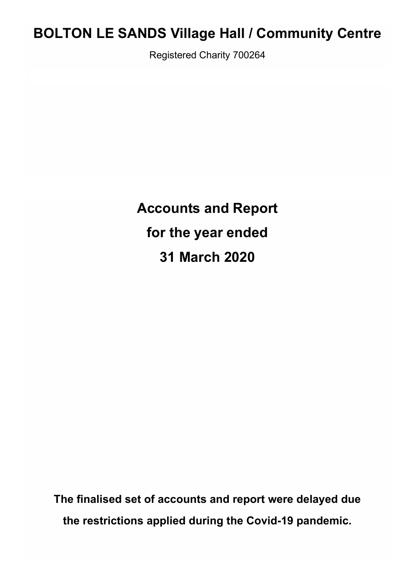# **BOLTON LE SANDS Village Hall / Community Centre**

Registered Charity 700264

**Accounts and Report for the year ended 31 March 2020**

**The finalised set of accounts and report were delayed due the restrictions applied during the Covid-19 pandemic.**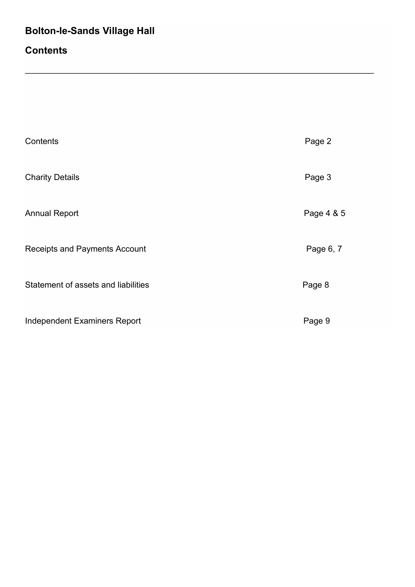## **Contents**

| Contents                             | Page 2     |
|--------------------------------------|------------|
| <b>Charity Details</b>               | Page 3     |
| <b>Annual Report</b>                 | Page 4 & 5 |
| <b>Receipts and Payments Account</b> | Page 6, 7  |
| Statement of assets and liabilities  | Page 8     |
| <b>Independent Examiners Report</b>  | Page 9     |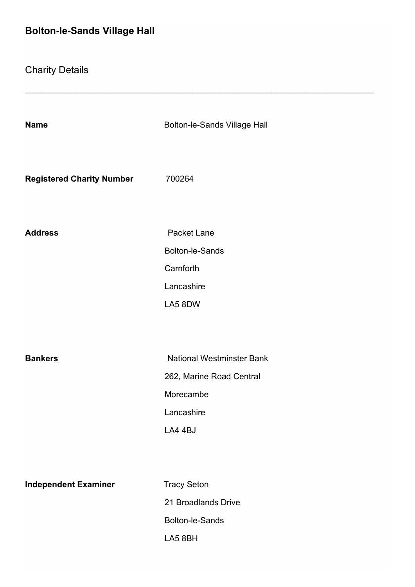Charity Details

| <b>Name</b>                      | <b>Bolton-le-Sands Village Hall</b> |
|----------------------------------|-------------------------------------|
| <b>Registered Charity Number</b> | 700264                              |
| <b>Address</b>                   | <b>Packet Lane</b>                  |
|                                  | <b>Bolton-le-Sands</b>              |
|                                  | Carnforth                           |
|                                  | Lancashire                          |
|                                  | LA5 8DW                             |
|                                  |                                     |
|                                  |                                     |
| <b>Bankers</b>                   | <b>National Westminster Bank</b>    |
|                                  | 262, Marine Road Central            |
|                                  | Morecambe                           |
|                                  | Lancashire                          |
|                                  | LA4 4BJ                             |
|                                  |                                     |
|                                  |                                     |
| <b>Independent Examiner</b>      | <b>Tracy Seton</b>                  |
|                                  | 21 Broadlands Drive                 |
|                                  | <b>Bolton-le-Sands</b>              |
|                                  | LA5 8BH                             |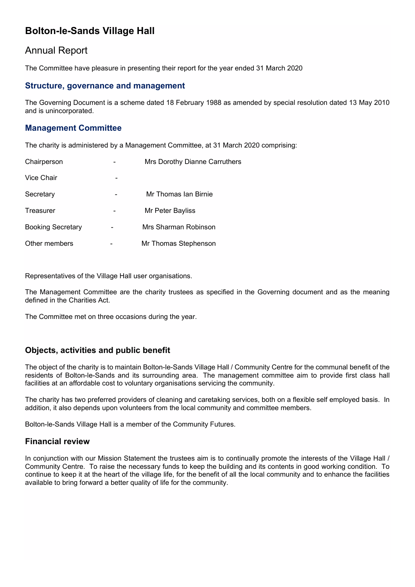### Annual Report

The Committee have pleasure in presenting their report for the year ended 31 March 2020

#### **Structure, governance and management**

The Governing Document is a scheme dated 18 February 1988 as amended by special resolution dated 13 May 2010 and is unincorporated.

### **Management Committee**

The charity is administered by a Management Committee, at 31 March 2020 comprising:

| Chairperson              | Mrs Dorothy Dianne Carruthers |  |  |
|--------------------------|-------------------------------|--|--|
| Vice Chair               |                               |  |  |
| Secretary                | Mr Thomas Ian Birnie          |  |  |
| Treasurer                | Mr Peter Bayliss              |  |  |
| <b>Booking Secretary</b> | Mrs Sharman Robinson          |  |  |
| Other members            | Mr Thomas Stephenson          |  |  |

Representatives of the Village Hall user organisations.

The Management Committee are the charity trustees as specified in the Governing document and as the meaning defined in the Charities Act.

The Committee met on three occasions during the year.

### **Objects, activities and public benefit**

The object of the charity is to maintain Bolton-le-Sands Village Hall / Community Centre for the communal benefit of the residents of Bolton-le-Sands and its surrounding area. The management committee aim to provide first class hall facilities at an affordable cost to voluntary organisations servicing the community.

The charity has two preferred providers of cleaning and caretaking services, both on a flexible self employed basis. In addition, it also depends upon volunteers from the local community and committee members.

Bolton-le-Sands Village Hall is a member of the Community Futures.

### **Financial review**

In conjunction with our Mission Statement the trustees aim is to continually promote the interests of the Village Hall / Community Centre. To raise the necessary funds to keep the building and its contents in good working condition. To continue to keep it at the heart of the village life, for the benefit of all the local community and to enhance the facilities available to bring forward a better quality of life for the community.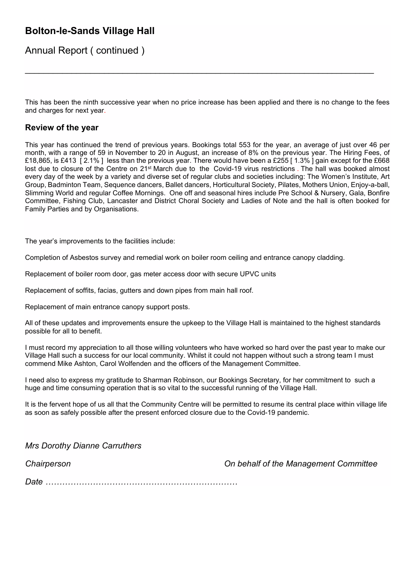Annual Report ( continued )

This has been the ninth successive year when no price increase has been applied and there is no change to the fees and charges for next year.

\_\_\_\_\_\_\_\_\_\_\_\_\_\_\_\_\_\_\_\_\_\_\_\_\_\_\_\_\_\_\_\_\_\_\_\_\_\_\_\_\_\_\_\_\_\_\_\_\_\_\_\_\_\_\_\_\_\_\_\_\_\_\_\_\_\_\_\_\_\_\_\_\_\_\_

### **Review of the year**

This year has continued the trend of previous years. Bookings total 553 for the year, an average of just over 46 per month, with a range of 59 in November to 20 in August, an increase of 8% on the previous year. The Hiring Fees, of £18,865, is £413 [ 2.1% ] less than the previous year. There would have been a £255 [ 1.3% ] gain except for the £668 lost due to closure of the Centre on 21<sup>st</sup> March due to the Covid-19 virus restrictions. The hall was booked almost every day of the week by a variety and diverse set of regular clubs and societies including: The Women's Institute, Art Group, Badminton Team, Sequence dancers, Ballet dancers, Horticultural Society, Pilates, Mothers Union, Enjoy-a-ball, Slimming World and regular Coffee Mornings. One off and seasonal hires include Pre School & Nursery, Gala, Bonfire Committee, Fishing Club, Lancaster and District Choral Society and Ladies of Note and the hall is often booked for Family Parties and by Organisations.

The year's improvements to the facilities include:

Completion of Asbestos survey and remedial work on boiler room ceiling and entrance canopy cladding.

Replacement of boiler room door, gas meter access door with secure UPVC units

Replacement of soffits, facias, gutters and down pipes from main hall roof.

Replacement of main entrance canopy support posts.

All of these updates and improvements ensure the upkeep to the Village Hall is maintained to the highest standards possible for all to benefit.

I must record my appreciation to all those willing volunteers who have worked so hard over the past year to make our Village Hall such a success for our local community. Whilst it could not happen without such a strong team I must commend Mike Ashton, Carol Wolfenden and the officers of the Management Committee.

I need also to express my gratitude to Sharman Robinson, our Bookings Secretary, for her commitment to such a huge and time consuming operation that is so vital to the successful running of the Village Hall.

It is the fervent hope of us all that the Community Centre will be permitted to resume its central place within village life as soon as safely possible after the present enforced closure due to the Covid-19 pandemic.

*Mrs Dorothy Dianne Carruthers*

*Chairperson On behalf of the Management Committee*

*Date ……………………………………………………………*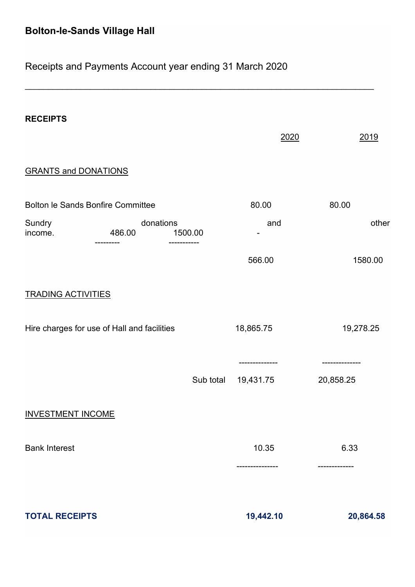## Receipts and Payments Account year ending 31 March 2020

| <b>RECEIPTS</b>                                                          |                     |           | 2020                      | 2019              |
|--------------------------------------------------------------------------|---------------------|-----------|---------------------------|-------------------|
| <b>GRANTS and DONATIONS</b>                                              |                     |           |                           |                   |
| <b>Bolton le Sands Bonfire Committee</b>                                 |                     |           | 80.00                     | 80.00             |
| Sundry<br>income.                                                        | donations<br>486.00 | 1500.00   | and                       | other             |
|                                                                          |                     |           | 566.00                    | 1580.00           |
| <b>TRADING ACTIVITIES</b><br>Hire charges for use of Hall and facilities |                     |           | 18,865.75                 | 19,278.25         |
|                                                                          |                     | Sub total | ------------<br>19,431.75 | <br>20,858.25     |
| <b>INVESTMENT INCOME</b>                                                 |                     |           |                           |                   |
| <b>Bank Interest</b>                                                     |                     |           | 10.35<br>----------       | 6.33<br>--------- |
| <b>TOTAL RECEIPTS</b>                                                    |                     |           | 19,442.10                 | 20,864.58         |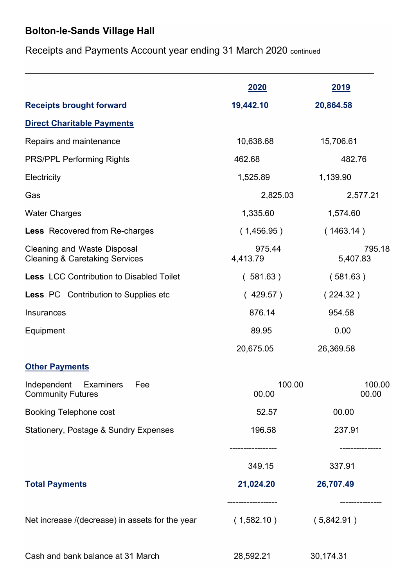Receipts and Payments Account year ending 31 March 2020 continued

|                                                                          | 2020                               | 2019                       |
|--------------------------------------------------------------------------|------------------------------------|----------------------------|
| <b>Receipts brought forward</b>                                          | 19,442.10                          | 20,864.58                  |
| <b>Direct Charitable Payments</b>                                        |                                    |                            |
| Repairs and maintenance                                                  | 10,638.68                          | 15,706.61                  |
| <b>PRS/PPL Performing Rights</b>                                         | 462.68                             | 482.76                     |
| Electricity                                                              | 1,525.89                           | 1,139.90                   |
| Gas                                                                      | 2,825.03                           | 2,577.21                   |
| <b>Water Charges</b>                                                     | 1,335.60                           | 1,574.60                   |
| <b>Less</b> Recovered from Re-charges                                    | (1,456.95)                         | (1463.14)                  |
| Cleaning and Waste Disposal<br><b>Cleaning &amp; Caretaking Services</b> | 975.44<br>4,413.79                 | 795.18<br>5,407.83         |
| <b>Less LCC Contribution to Disabled Toilet</b>                          | (581.63)                           | (581.63)                   |
| <b>Less PC</b> Contribution to Supplies etc                              | (429.57)                           | (224.32)                   |
| Insurances                                                               | 876.14                             | 954.58                     |
| Equipment                                                                | 89.95                              | 0.00                       |
|                                                                          | 20,675.05                          | 26,369.58                  |
| <b>Other Payments</b>                                                    |                                    |                            |
| Independent<br><b>Examiners</b><br>Fee<br><b>Community Futures</b>       | 100.00<br>100.00<br>00.00<br>00.00 |                            |
| <b>Booking Telephone cost</b>                                            | 52.57                              | 00.00                      |
| <b>Stationery, Postage &amp; Sundry Expenses</b>                         | 196.58<br>----------------         | 237.91<br>-------------    |
|                                                                          | 349.15                             | 337.91                     |
| <b>Total Payments</b>                                                    | 21,024.20                          | 26,707.49                  |
| Net increase /(decrease) in assets for the year                          | (1,582.10)                         | . <b>.</b> .<br>(5,842.91) |
| Cash and bank balance at 31 March                                        | 28,592.21                          | 30,174.31                  |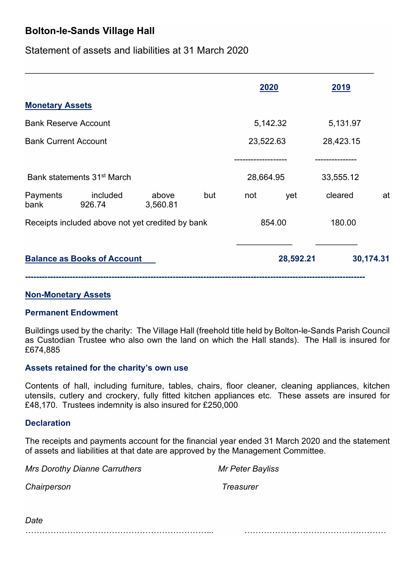Statement of assets and liabilities at 31 March 2020

|                                                                         |     | 2020                    | <u>2019</u>                |
|-------------------------------------------------------------------------|-----|-------------------------|----------------------------|
| <b>Monetary Assets</b>                                                  |     |                         |                            |
| <b>Bank Reserve Account</b>                                             |     | 5,142.32                | 5,131.97                   |
| <b>Bank Current Account</b>                                             |     | 23,522.63               | 28,423.15                  |
| Bank statements 31 <sup>st</sup> March<br>included<br>Payments<br>above | but | 28,664.95<br>yet<br>not | 33,555.12<br>cleared<br>at |
| bank<br>926.74<br>3,560.81                                              |     |                         |                            |
| Receipts included above not yet credited by bank                        |     | 854.00                  | 180.00                     |
| <b>Balance as Books of Account</b>                                      |     | 28,592.21               | 30,174.31                  |

\_\_\_\_\_\_\_\_\_\_\_\_\_\_\_\_\_\_\_\_\_\_\_\_\_\_\_\_\_\_\_\_\_\_\_\_\_\_\_\_\_\_\_\_\_\_\_\_\_\_\_\_\_\_\_\_\_\_\_\_\_\_\_\_\_\_\_\_\_\_\_\_\_\_\_

### **Non-Monetary Assets**

### **Permanent Endowment**

Buildings used by the charity: The Village Hall (freehold title held by Bolton-le-Sands Parish Council as Custodian Trustee who also own the land on which the Hall stands). The Hall is insured for £674,885

### **Assets retained for the charity's own use**

Contents of hall, including furniture, tables, chairs, floor cleaner, cleaning appliances, kitchen utensils, cutlery and crockery, fully fitted kitchen appliances etc. These assets are insured for £48,170. Trustees indemnity is also insured for £250,000

### **Declaration**

The receipts and payments account for the financial year ended 31 March 2020 and the statement of assets and liabilities at that date are approved by the Management Committee.

**Mrs Dorothy Dianne Carruthers Mr Peter Bayliss** 

*Chairperson Treasurer*

*Date ………………………………………………………….. ……………………………………………*